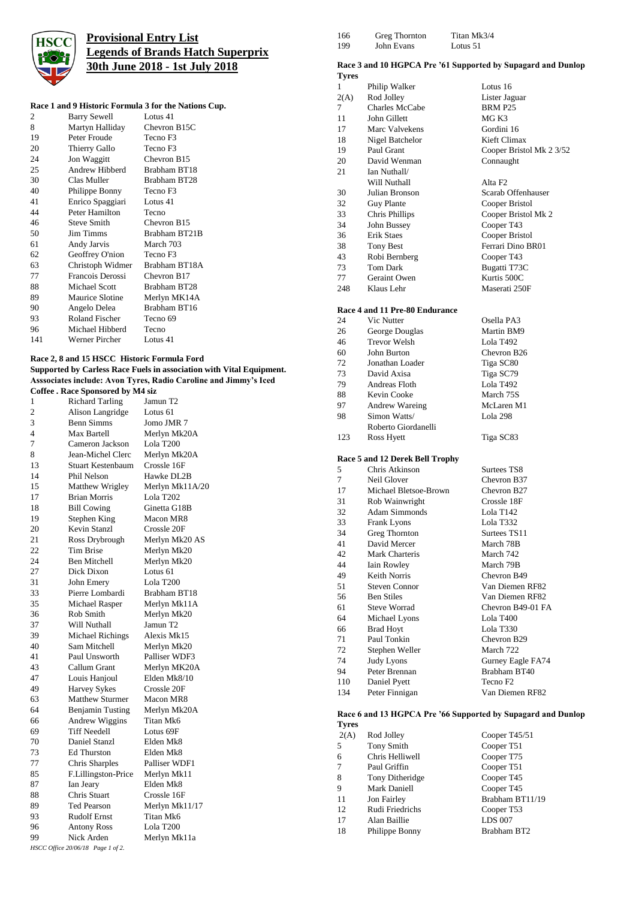

## **Provisional Entry List Legends of Brands Hatch Superprix 30th June 2018 - 1st July 2018**

### **Race 1 and 9 Historic Formula 3 for the Nations Cup.**

| 2   | <b>Barry Sewell</b>    | Lotus 41      |
|-----|------------------------|---------------|
| 8   | Martyn Halliday        | Chevron B15C  |
| 19  | Peter Froude           | Tecno F3      |
| 20  | Thierry Gallo          | Tecno F3      |
| 24  | Jon Waggitt            | Chevron B15   |
| 25  | Andrew Hibberd         | Brabham BT18  |
| 30  | Clas Muller            | Brabham BT28  |
| 40  | Philippe Bonny         | Tecno F3      |
| 41  | Enrico Spaggiari       | Lotus 41      |
| 44  | Peter Hamilton         | Tecno         |
| 46  | <b>Steve Smith</b>     | Chevron B15   |
| 50  | <b>Jim Timms</b>       | Brabham BT21B |
| 61  | Andy Jarvis            | March 703     |
| 62  | Geoffrey O'nion        | Tecno F3      |
| 63  | Christoph Widmer       | Brabham BT18A |
| 77  | Francois Derossi       | Chevron B17   |
| 88  | <b>Michael Scott</b>   | Brabham BT28  |
| 89  | <b>Maurice Slotine</b> | Merlyn MK14A  |
| 90  | Angelo Delea           | Brabham BT16  |
| 93  | Roland Fischer         | Tecno 69      |
| 96  | Michael Hibberd        | Tecno         |
| 141 | Werner Pircher         | Lotus 41      |
|     |                        |               |

### **Race 2, 8 and 15 HSCC Historic Formula Ford Supported by Carless Race Fuels in association with Vital Equipment. Asssociates include: Avon Tyres, Radio Caroline and Jimmy's Iced**

| <b>Coffee . Race Sponsored by M4 siz</b> |                                   |                     |  |
|------------------------------------------|-----------------------------------|---------------------|--|
| 1                                        | <b>Richard Tarling</b>            | Jamun T2            |  |
| 2                                        | Alison Langridge                  | Lotus 61            |  |
| 3                                        | <b>Benn Simms</b>                 | Jomo JMR 7          |  |
| 4                                        | Max Bartell                       | Merlyn Mk20A        |  |
| 7                                        | Cameron Jackson                   | Lola T200           |  |
| 8                                        | Jean-Michel Clerc                 | Merlyn Mk20A        |  |
| 13                                       | Stuart Kestenbaum                 | Crossle 16F         |  |
| 14                                       | Phil Nelson                       | Hawke DL2B          |  |
| 15                                       | Matthew Wrigley                   | Merlyn Mk11A/20     |  |
| 17                                       | <b>Brian Morris</b>               | Lola T202           |  |
| 18                                       | <b>Bill Cowing</b>                | Ginetta G18B        |  |
| 19                                       | Stephen King                      | Macon MR8           |  |
| 20                                       | Kevin Stanzl                      | Crossle 20F         |  |
| 21                                       | Ross Drybrough                    | Merlyn Mk20 AS      |  |
| 22                                       | <b>Tim Brise</b>                  | Merlyn Mk20         |  |
| 24                                       | <b>Ben Mitchell</b>               | Merlyn Mk20         |  |
| 27                                       | Dick Dixon                        | Lotus 61            |  |
| 31                                       | John Emery                        | Lola T200           |  |
| 33                                       | Pierre Lombardi                   | <b>Brabham BT18</b> |  |
| 35                                       | Michael Rasper                    | Merlyn Mk11A        |  |
| 36                                       | Rob Smith                         | Merlyn Mk20         |  |
| 37                                       | Will Nuthall                      | Jamun T2            |  |
| 39                                       | <b>Michael Richings</b>           | Alexis Mk15         |  |
| 40                                       | Sam Mitchell                      | Merlyn Mk20         |  |
| 41                                       | Paul Unsworth                     | Palliser WDF3       |  |
| 43                                       | Callum Grant                      | Merlyn MK20A        |  |
| 47                                       | Louis Hanjoul                     | Elden Mk8/10        |  |
| 49                                       | <b>Harvey Sykes</b>               | Crossle 20F         |  |
| 63                                       | Matthew Sturmer                   | Macon MR8           |  |
| 64                                       | <b>Benjamin Tusting</b>           | Merlyn Mk20A        |  |
| 66                                       | Andrew Wiggins                    | Titan Mk6           |  |
| 69                                       | <b>Tiff Needell</b>               | Lotus 69F           |  |
| 70                                       | Daniel Stanzl                     | Elden Mk8           |  |
| 73                                       | <b>Ed Thurston</b>                | Elden Mk8           |  |
| 77                                       | Chris Sharples                    | Palliser WDF1       |  |
| 85                                       | F.Lillingston-Price               | Merlyn Mk11         |  |
| 87                                       | Ian Jeary                         | Elden Mk8           |  |
| 88                                       | Chris Stuart                      | Crossle 16F         |  |
| 89                                       | <b>Ted Pearson</b>                | Merlyn Mk11/17      |  |
| 93                                       | <b>Rudolf Ernst</b>               | Titan Mk6           |  |
| 96                                       | <b>Antony Ross</b>                | Lola T200           |  |
| 99                                       | Nick Arden                        | Merlyn Mk11a        |  |
|                                          | HSCC Office 20/06/18 Page 1 of 2. |                     |  |

| 166 | Greg Thornton | Titan Mk3/4 |
|-----|---------------|-------------|
| 199 | John Evans    | Lotus 51    |

# **Race 3 and 10 HGPCA Pre '61 Supported by Supagard and Dunlop**

| <b>Tyres</b> | Kace 5 and 10 HGPCA Pre 31 Supported by Supagard and Du  |                          |
|--------------|----------------------------------------------------------|--------------------------|
| 1            | Philip Walker                                            | Lotus 16                 |
| 2(A)         | Rod Jolley                                               | Lister Jaguar            |
| 7            | Charles McCabe                                           | BRM P25                  |
| 11           | John Gillett                                             | MG K3                    |
| 17           | Marc Valvekens                                           | Gordini 16               |
| 18           | Nigel Batchelor                                          | Kieft Climax             |
| 19           | Paul Grant                                               | Cooper Bristol Mk 2 3/52 |
| 20           | David Wenman                                             | Connaught                |
| 21           | Ian Nuthall/                                             |                          |
|              | Will Nuthall                                             | Alta <sub>F2</sub>       |
| 30           | Julian Bronson                                           | Scarab Offenhauser       |
| 32           | <b>Guy Plante</b>                                        | Cooper Bristol           |
| 33           | Chris Phillips                                           | Cooper Bristol Mk 2      |
| 34           | John Bussey                                              | Cooper T43               |
| 36           | Erik Staes                                               | Cooper Bristol           |
| 38           | <b>Tony Best</b>                                         | Ferrari Dino BR01        |
| 43           | Robi Bernberg                                            | Cooper T43               |
| 73           | <b>Tom Dark</b>                                          | Bugatti T73C             |
| 77           | Geraint Owen                                             | Kurtis 500C              |
| 248          | Klaus Lehr                                               | Maserati 250F            |
|              |                                                          |                          |
| 24           | Race 4 and 11 Pre-80 Endurance<br>Vic Nutter             | Osella PA3               |
| 26           | George Douglas                                           | Martin BM9               |
| 46           | <b>Trevor Welsh</b>                                      | Lola T492                |
| 60           | John Burton                                              | Chevron B26              |
| 72           | Jonathan Loader                                          | Tiga SC80                |
| 73           | David Axisa                                              | Tiga SC79                |
| 79           | Andreas Floth                                            | Lola T492                |
| 88           | Kevin Cooke                                              | March 75S                |
| 97           | Andrew Wareing                                           | McLaren M1               |
| 98           | Simon Watts/                                             | Lola 298                 |
|              | Roberto Giordanelli                                      |                          |
| 123          | Ross Hyett                                               | Tiga SC83                |
|              | Race 5 and 12 Derek Bell Trophy                          |                          |
| 5            | Chris Atkinson                                           | Surtees TS8              |
| 7            | Neil Glover                                              | Chevron B37              |
| 17           | Michael Bletsoe-Brown                                    | Chevron B27              |
| 31           | Rob Wainwright                                           | Crossle 18F              |
| 32           | Adam Simmonds                                            | Lola T142                |
| 33           | Frank Lyons                                              | Lola T332                |
| 34           | Greg Thornton                                            | Surtees TS11             |
| 41           | David Mercer                                             | March 78B                |
| 42           | Mark Charteris                                           | March 742                |
| 44           | Iain Rowley                                              | March 79B                |
| 49           | Keith Norris                                             | Chevron B49              |
| 51           | <b>Steven Connor</b>                                     | Van Diemen RF82          |
| 56           | <b>Ben Stiles</b>                                        | Van Diemen RF82          |
| 61           | <b>Steve Worrad</b>                                      | Chevron B49-01 FA        |
| 64           | Michael Lyons                                            | Lola T400                |
| 66           | <b>Brad Hoyt</b>                                         | Lola T330                |
| 71           | Paul Tonkin                                              | Chevron B29              |
| 72           | Stephen Weller                                           | March 722                |
| 74           | <b>Judy Lyons</b>                                        | Gurney Eagle FA74        |
| 94           | Peter Brennan                                            | Brabham BT40             |
| 110          | Daniel Pyett                                             | Tecno F <sub>2</sub>     |
| 134          | Peter Finnigan                                           | Van Diemen RF82          |
|              | Race 6 and 13 HGPCA Pre '66 Supported by Supagard and Du |                          |

### **Race 6 and 13 HGPCA Pre '66 Supported by Supagard and Dunlop Tyres**

| 2(A) | Rod Jolley      | Cooper T45/51   |
|------|-----------------|-----------------|
| 5    | Tony Smith      | Cooper T51      |
| 6    | Chris Helliwell | Cooper T75      |
| 7    | Paul Griffin    | Cooper T51      |
| 8    | Tony Ditheridge | Cooper T45      |
| 9    | Mark Daniell    | Cooper T45      |
| 11   | Jon Fairley     | Brabham BT11/19 |
| 12   | Rudi Friedrichs | Cooper T53      |
| 17   | Alan Baillie    | <b>LDS 007</b>  |
| 18   | Philippe Bonny  | Brabham BT2     |
|      |                 |                 |